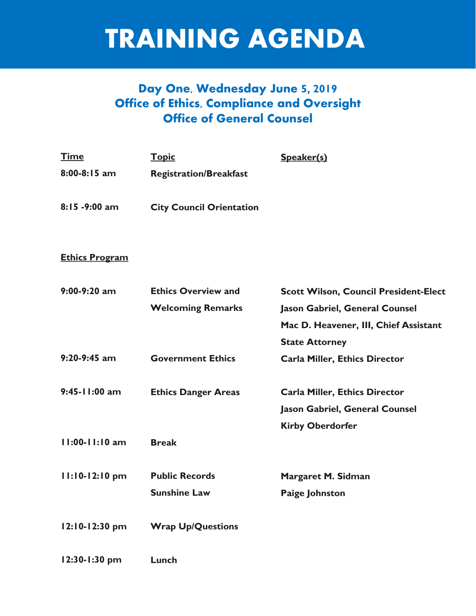# TRAINING AGENDA

# **Day One, Wednesday June 5, 2019 Office of Ethics, Compliance and Oversight Office of General Counsel**

| <u>Time</u>    | <b>Topic</b>                  | Speaker(s) |
|----------------|-------------------------------|------------|
| $8:00-8:15$ am | <b>Registration/Breakfast</b> |            |
|                |                               |            |

**City Council Orientation 8:15 -9:00 am**

### **Ethics Program**

| $9:00-9:20$ am     | <b>Ethics Overview and</b> | <b>Scott Wilson, Council President-Elect</b> |
|--------------------|----------------------------|----------------------------------------------|
|                    | <b>Welcoming Remarks</b>   | <b>Jason Gabriel, General Counsel</b>        |
|                    |                            | Mac D. Heavener, III, Chief Assistant        |
|                    |                            | <b>State Attorney</b>                        |
| $9:20-9:45$ am     | <b>Government Ethics</b>   | <b>Carla Miller, Ethics Director</b>         |
| 9:45-11:00 am      | <b>Ethics Danger Areas</b> | <b>Carla Miller, Ethics Director</b>         |
|                    |                            | <b>Jason Gabriel, General Counsel</b>        |
|                    |                            | <b>Kirby Oberdorfer</b>                      |
| $11:00 - 11:10$ am | <b>Break</b>               |                                              |
| $11:10-12:10$ pm   | <b>Public Records</b>      | Margaret M. Sidman                           |
|                    | <b>Sunshine Law</b>        | <b>Paige Johnston</b>                        |
| 12:10-12:30 pm     | <b>Wrap Up/Questions</b>   |                                              |
| 12:30-1:30 pm      | Lunch                      |                                              |